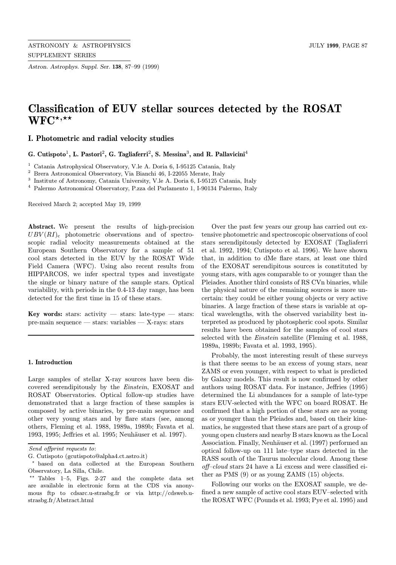Astron. Astrophys. Suppl. Ser. 138, 87–99 (1999)

# Classification of EUV stellar sources detected by the ROSAT  $WFC^{\star,\star\star}$

I. Photometric and radial velocity studies

G. Cutispoto<sup>1</sup>, L. Pastori<sup>2</sup>, G. Tagliaferri<sup>2</sup>, S. Messina<sup>3</sup>, and R. Pallavicini<sup>4</sup>

<sup>1</sup> Catania Astrophysical Observatory, V.le A. Doria 6, I-95125 Catania, Italy

<sup>2</sup> Brera Astronomical Observatory, Via Bianchi 46, I-22055 Merate, Italy

<sup>3</sup> Institute of Astronomy, Catania University, V.le A. Doria 6, I-95125 Catania, Italy

<sup>4</sup> Palermo Astronomical Observatory, P.zza del Parlamento 1, I-90134 Palermo, Italy

Received March 2; accepted May 19, 1999

Abstract. We present the results of high-precision  $UBV(RI)_{c}$  photometric observations and of spectroscopic radial velocity measurements obtained at the European Southern Observatory for a sample of 51 cool stars detected in the EUV by the ROSAT Wide Field Camera (WFC). Using also recent results from HIPPARCOS, we infer spectral types and investigate the single or binary nature of the sample stars. Optical variability, with periods in the 0.4-13 day range, has been detected for the first time in 15 of these stars.

Key words: stars: activity — stars: late-type — stars: pre-main sequence — stars: variables — X-rays: stars

## 1. Introduction

Large samples of stellar X-ray sources have been discovered serendipitously by the Einstein, EXOSAT and ROSAT Observatories. Optical follow-up studies have demonstrated that a large fraction of these samples is composed by active binaries, by pre-main sequence and other very young stars and by flare stars (see, among others, Fleming et al. 1988, 1989a, 1989b; Favata et al. 1993, 1995; Jeffries et al. 1995; Neuhäuser et al. 1997).

Over the past few years our group has carried out extensive photometric and spectroscopic observations of cool stars serendipitously detected by EXOSAT (Tagliaferri et al. 1992, 1994; Cutispoto et al. 1996). We have shown that, in addition to dMe flare stars, at least one third of the EXOSAT serendipitous sources is constituted by young stars, with ages comparable to or younger than the Pleiades. Another third consists of RS CVn binaries, while the physical nature of the remaining sources is more uncertain: they could be either young objects or very active binaries. A large fraction of these stars is variable at optical wavelengths, with the observed variability best interpreted as produced by photospheric cool spots. Similar results have been obtained for the samples of cool stars selected with the Einstein satellite (Fleming et al. 1988, 1989a, 1989b; Favata et al. 1993, 1995).

Probably, the most interesting result of these surveys is that there seems to be an excess of young stars, near ZAMS or even younger, with respect to what is predicted by Galaxy models. This result is now confirmed by other authors using ROSAT data. For instance, Jeffries (1995) determined the Li abundances for a sample of late-type stars EUV-selected with the WFC on board ROSAT. He confirmed that a high portion of these stars are as young as or younger than the Pleiades and, based on their kinematics, he suggested that these stars are part of a group of young open clusters and nearby B stars known as the Local Association. Finally, Neuhäuser et al. (1997) performed an optical follow-up on 111 late–type stars detected in the RASS south of the Taurus molecular cloud. Among these off–cloud stars 24 have a Li excess and were classified either as PMS (9) or as young ZAMS (15) objects.

Following our works on the EXOSAT sample, we defined a new sample of active cool stars EUV–selected with the ROSAT WFC (Pounds et al. 1993; Pye et al. 1995) and

Send offprint requests to:

G. Cutispoto (gcutispoto@alpha4.ct.astro.it)

based on data collected at the European Southern Observatory, La Silla, Chile.

<sup>\*\*</sup> Tables  $1-5$ , Figs. 2-27 and the complete data set are available in electronic form at the CDS via anonymous ftp to cdsarc.u-strasbg.fr or via http://cdsweb.ustrasbg.fr/Abstract.html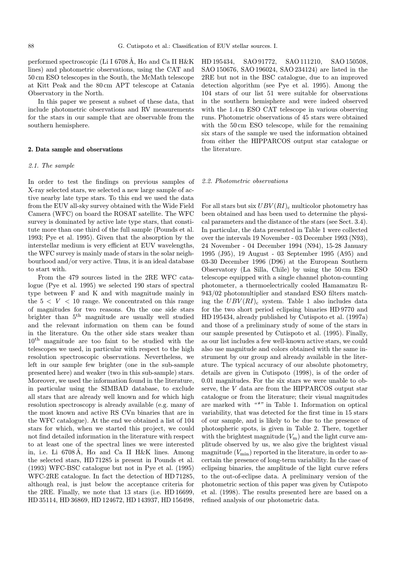performed spectroscopic (Li I 6708 Å,  $H\alpha$  and Ca II H&K lines) and photometric observations, using the CAT and 50 cm ESO telescopes in the South, the McMath telescope at Kitt Peak and the 80 cm APT telescope at Catania Observatory in the North.

In this paper we present a subset of these data, that include photometric observations and RV measurements for the stars in our sample that are observable from the southern hemisphere.

## 2. Data sample and observations

## 2.1. The sample

In order to test the findings on previous samples of X-ray selected stars, we selected a new large sample of active nearby late type stars. To this end we used the data from the EUV all-sky survey obtained with the Wide Field Camera (WFC) on board the ROSAT satellite. The WFC survey is dominated by active late type stars, that constitute more than one third of the full sample (Pounds et al. 1993; Pye et al. 1995). Given that the absorption by the interstellar medium is very efficient at EUV wavelengths, the WFC survey is mainly made of stars in the solar neighbourhood and/or very active. Thus, it is an ideal database to start with.

From the 479 sources listed in the 2RE WFC catalogue (Pye et al. 1995) we selected 190 stars of spectral type between F and K and with magnitude mainly in the  $5 < V < 10$  range. We concentrated on this range of magnitudes for two reasons. On the one side stars brighter than 5th magnitude are usually well studied and the relevant information on them can be found in the literature. On the other side stars weaker than 10th magnitude are too faint to be studied with the telescopes we used, in particular with respect to the high resolution spectroscopic observations. Nevertheless, we left in our sample few brighter (one in the sub-sample presented here) and weaker (two in this sub-sample) stars. Moreover, we used the information found in the literature, in particular using the SIMBAD database, to exclude all stars that are already well known and for which high resolution spectroscopy is already available (e.g. many of the most known and active RS CVn binaries that are in the WFC catalogue). At the end we obtained a list of 104 stars for which, when we started this project, we could not find detailed information in the literature with respect to at least one of the spectral lines we were interested in, i.e. Li 6708Å, H $\alpha$  and Ca II H&K lines. Among the selected stars, HD 71285 is present in Pounds et al. (1993) WFC-BSC catalogue but not in Pye et al. (1995) WFC-2RE catalogue. In fact the detection of HD 71285, although real, is just below the acceptance criteria for the 2RE. Finally, we note that 13 stars (i.e. HD 16699, HD 35114, HD 36869, HD 124672, HD 143937, HD 156498,

HD 195434, SAO 91772, SAO 111210, SAO 150508, SAO 150676, SAO 196024, SAO 234124) are listed in the 2RE but not in the BSC catalogue, due to an improved detection algorithm (see Pye et al. 1995). Among the 104 stars of our list 51 were suitable for observations in the southern hemisphere and were indeed observed with the 1.4m ESO CAT telescope in various observing runs. Photometric observations of 45 stars were obtained with the 50 cm ESO telescope, while for the remaining six stars of the sample we used the information obtained from either the HIPPARCOS output star catalogue or the literature.

## 2.2. Photometric observations

For all stars but six  $UBV(RI)_{c}$  multicolor photometry has been obtained and has been used to determine the physical parameters and the distance of the stars (see Sect. 3.4). In particular, the data presented in Table 1 were collected over the intervals 19 November - 03 December 1993 (N93), 24 November - 04 December 1994 (N94), 15-28 January 1995 (J95), 19 August - 03 September 1995 (A95) and 03-30 December 1996 (D96) at the European Southern Observatory (La Silla, Chile) by using the 50 cm ESO telescope equipped with a single channel photon-counting photometer, a thermoelectrically cooled Hamamatzu R-943/02 photomultiplier and standard ESO filters matching the  $UBV(RI)_{c}$  system. Table 1 also includes data for the two short period eclipsing binaries HD 9770 and HD 195434, already published by Cutispoto et al. (1997a) and those of a preliminary study of some of the stars in our sample presented by Cutispoto et al. (1995). Finally, as our list includes a few well-known active stars, we could also use magnitude and colors obtained with the same instrument by our group and already available in the literature. The typical accuracy of our absolute photometry, details are given in Cutispoto (1998), is of the order of 0.01 magnitudes. For the six stars we were unable to observe, the V data are from the HIPPARCOS output star catalogue or from the literature; their visual magnitudes are marked with "\*" in Table 1. Information on optical variability, that was detected for the first time in 15 stars of our sample, and is likely to be due to the presence of photospheric spots, is given in Table 2. There, together with the brightest magnitude  $(V<sub>m</sub>)$  and the light curve amplitude observed by us, we also give the brightest visual magnitude  $(V_{\text{min}})$  reported in the literature, in order to ascertain the presence of long-term variability. In the case of eclipsing binaries, the amplitude of the light curve refers to the out-of-eclipse data. A preliminary version of the photometric section of this paper was given by Cutispoto et al. (1998). The results presented here are based on a refined analysis of our photometric data.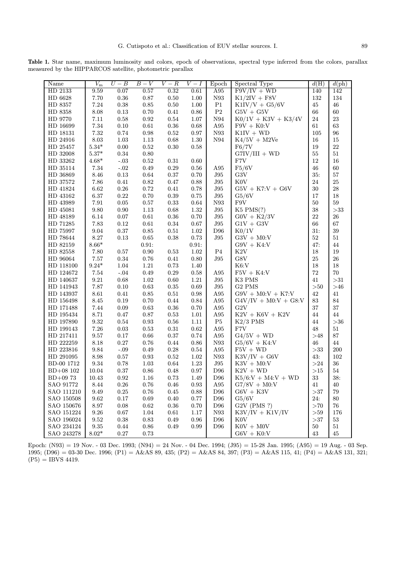Table 1. Star name, maximum luminosity and colors, epoch of observations, spectral type inferred from the colors, parallax measured by the HIPPARCOS satellite, photometric parallax

| Name                  | $\overline{V_{\rm m}}$ | $U-B$         | $B-V$      | $V-R$      | $\overline{V}-I$ | Epoch           | Spectral Type                    | d(H)      | $d(\text{ph})$ |
|-----------------------|------------------------|---------------|------------|------------|------------------|-----------------|----------------------------------|-----------|----------------|
| HD 2133               | 9.59                   | 0.07          | 0.57       | 0.32       | 0.61             | A95             | $F9V/IV + WD$                    | 140       | 142            |
| HD 6628               | 7.70                   | $0.36\,$      | $0.87\,$   | $0.50\,$   | 1.00             | N93             | $K1/2IV + F8V$                   | 132       | 134            |
| HD 8357               | 7.24                   | $0.38\,$      | $\rm 0.85$ | $0.50\,$   | 1.00             | P1              | $K1IV/V + G5/6V$                 | 45        | 46             |
| HD 8358               | $8.08\,$               | $0.13\,$      | 0.70       | 0.41       | 0.86             | P <sub>2</sub>  | $G5V + G5V$                      | 66        | 60             |
| HD 9770               | 7.11                   | $0.58\,$      | 0.92       | 0.54       | 1.07             | N94             | $K0/1V + K3V + K3/4V$            | 24        | 23             |
| HD 16699              | $7.34\,$               | $0.10\,$      | $\rm 0.61$ | $0.36\,$   | 0.68             | A95             | $F9V + K0:V$                     | 61        | $63\,$         |
| HD 18131              | $7.32\,$               | 0.74          | 0.98       | 0.52       | 0.97             | N93             | $K1IV + WD$                      | 105       | 96             |
| HD 24916              | $8.03\,$               | 1.03          | $1.13\,$   | 0.68       | 1.30             | N94             | $K4/5V + M2Ve$                   | 16        | 15             |
| HD 25457              | $5.34*$                | $0.00\,$      | 0.52       | 0.30       | 0.58             |                 | F6/7V                            | 19        | 22             |
| HD 32008              | $5.37*$                | $\rm 0.34$    | $0.80\,$   |            |                  |                 | $G7IV/III + WD$                  | 55        | $51\,$         |
| HD 33262              | $4.68*$                | $^{\circ}.03$ | $\rm 0.52$ | $\rm 0.31$ | 0.60             |                 | F7V                              | 12        | $16\,$         |
| HD 35114              | 7.34                   | $-.02$        | 0.49       | $\rm 0.29$ | 0.56             | A95             | F5/6V                            | 46        | $60\,$         |
| HD 36869              | $8.46\,$               | $0.13\,$      | 0.64       | $0.37\,$   | 0.70             | J95             | G3V                              | 35:       | $57\,$         |
| HD 37572              | 7.86                   | $0.41\,$      | 0.82       | $0.47\,$   | 0.88             | J95             | K <sub>0</sub> V                 | $24\,$    | $25\,$         |
| HD 41824              | $6.62\,$               | $0.26\,$      | 0.72       | 0.41       | 0.78             | J95             | $G5V + K7:V + G6V$               | 30        | $\sqrt{28}$    |
| HD 43162              | 6.37                   | $0.22\,$      | 0.70       | $\rm 0.39$ | 0.75             | J95             | G5/6V                            | 17        | $18\,$         |
| HD 43989              | 7.91                   | 0.05          | $0.57\,$   | 0.33       | 0.64             | N93             | F9V                              | 50        | $59\,$         |
| HD 45081              | $\,9.80\,$             | $0.90\,$      | $1.13\,$   | $\,0.68\,$ | $1.32\,$         | ${\rm J}95$     | $K5$ PMS $(?)$                   | 38        | ${>}33$        |
| HD 48189              | 6.14                   | $0.07\,$      | $\rm 0.61$ | $0.36\,$   | 0.70             | J95             | $G0V + K2/3V$                    | 22        | $26\,$         |
| HD 71285              | 7.83                   | 0.12          | $\rm 0.61$ | $\rm 0.34$ | 0.67             | J95             | $G1V + G3V$                      | 66        | $67\,$         |
| HD 75997              | 9.04                   | $0.37\,$      | 0.85       | 0.51       | 1.02             | D <sub>96</sub> | K0/1V                            | 31:       | 39             |
| HD 78644              | 8.27                   | 0.13          | $\,0.65\,$ | 0.38       | 0.73             | J95             | $\text{G3V}{}$ + $\text{M0:V}{}$ | $52\,$    | $51\,$         |
| HD 82159              | $8.66*$                |               | 0.91:      |            | 0.91:            |                 | $G9V + K4:V$                     | 47:       | 44             |
| HD 82558              | 7.80                   | 0.57          | 0.90       | $\rm 0.53$ | 1.02             | P <sub>4</sub>  | K2V                              | 18        | $19\,$         |
| HD 96064              | 7.57                   | $0.34\,$      | 0.76       | $0.41\,$   | 0.80             | J95             | G8V                              | 25        | $26\,$         |
| HD 118100             | $9.24*$                | 1.04          | $1.21\,$   | $0.73\,$   | 1.40             |                 | K6:V                             | 18        | $18\,$         |
| HD 124672             | $7.54\,$               | $-.04$        | $0.49\,$   | $0.29\,$   | 0.58             | A95             | $F5V + K4:V$                     | $72\,$    | 70             |
| HD 140637             | $\ \, 9.21$            | 0.68          | 1.02       | $0.60\,$   | $1.21\,$         | J95             | K3 PMS                           | 41        | ${>}31$        |
| HD 141943             | 7.87                   | 0.10          | 0.63       | $0.35\,$   | 0.69             | J95             | G <sub>2</sub> PM <sub>S</sub>   | ${>}50$   | $>\!\!46$      |
| HD 143937             | $8.61\,$               | 0.41          | $\rm 0.85$ | 0.51       | 0.98             | A95             | $G9V + MO:V + K7:V$              | $42\,$    | 41             |
| HD 156498             | 8.45                   | 0.19          | 0.70       | 0.44       | 0.84             | A95             | $G4V/IV + M0:V + G8:V$           | $83\,$    | 84             |
| HD 171488             | 7.44                   | 0.09          | 0.63       | $\rm 0.36$ | 0.70             | A95             | G2V                              | 37        | 37             |
| HD 195434             | 8.71                   | 0.47          | 0.87       | $\rm 0.53$ | 1.01             | A95             | $K2V + K6V + K2V$                | 44        | 44             |
| HD 197890             | $\boldsymbol{9.32}$    | 0.54          | $\rm 0.93$ | $0.56\,$   | 1.11             | $\rm P5$        | $K2/3$ PMS                       | 44        | $>\!\!36$      |
| HD 199143             | $7.26\,$               | $\rm 0.03$    | $\rm 0.53$ | $\rm 0.31$ | 0.62             | A95             | F7V                              | 48        | $51\,$         |
| HD 217411             | 9.57                   | 0.17          | 0.66       | 0.37       | 0.74             | A95             | $G4/5V + WD$                     | >48       | 87             |
| HD 222259             | $8.18\,$               | $0.27\,$      | 0.76       | 0.44       | 0.86             | N93             | $G5/6V + K4:V$                   | 46        | 44             |
| HD 223816             | 9.84                   | $-.09$        | 0.49       | 0.28       | 0.54             | A95             | $F5V + WD$                       | >33       | 200            |
| HD 291095             | 8.98                   | 0.57          | $\rm 0.93$ | 0.52       | 1.02             | N93             | $K3V/IV + G6V$                   | 43:       | 102            |
| BD-00 1712            | 9.34                   | 0.78          | 1.03       | 0.64       | 1.23             | J95             | $K3V + M0:V$                     | >24       | 36             |
| $BD+08$ 102           | 10.04                  | 0.37          | 0.86       | 0.48       | 0.97             | D <sub>96</sub> | $\mathrm{K2V}$ + WD              | >15       | $54\,$         |
| $\mathrm{BD}{+09}$ 73 | 10.43                  | 0.92          | 1.16       | 0.73       | 1.49             | D96             | $K5/6:V + M4:V + WD$             | 33        | 38:            |
| SAO 91772             | 8.44                   | 0.26          | 0.76       | $0.46\,$   | 0.93             | A95             | $G7/8V + M0:V$                   | 41        | 40             |
| SAO 111210            | 9.49                   | $\rm 0.25$    | $0.76\,$   | 0.45       | 0.88             | $\mathbf{D}96$  | $G6V + K3V$                      | >37       | $79\,$         |
| SAO 150508            | 9.62                   | 0.17          | 0.69       | 0.40       | 0.77             | D96             | G5/6V                            | 24:       | 80             |
| SAO 150676            | $8.97\,$               | $0.08\,$      | 0.62       | $\rm 0.36$ | 0.70             | $\mathbf{D}96$  | G2V (PMS ?)                      | >70       | $76\,$         |
| SAO 151224            | $\,9.26$               | $0.67\,$      | $1.04\,$   | $\rm 0.61$ | 1.17             | ${\it N93}$     | $K3V/IV + K1V/IV$                | $>\!\!59$ | 176            |
| SAO 196024            | $\boldsymbol{9.52}$    | $0.38\,$      | 0.83       | 0.49       | 0.96             | D96             | K <sub>0</sub> V                 | >37       | $53\,$         |
| SAO 234124            | $\boldsymbol{9.35}$    | 0.44          | 0.86       | 0.49       | 0.99             | $\mathbf{D}96$  | $K0V + M0V$                      | 50        | $51\,$         |
| SAO 243278            | $8.02*$                | $0.27\,$      | 0.73       |            |                  |                 | $G6V + K0:V$                     | 43        | 45             |

Epoch: (N93) = 19 Nov. - 03 Dec. 1993; (N94) = 24 Nov. - 04 Dec. 1994; (J95) = 15-28 Jan. 1995; (A95) = 19 Aug. - 03 Sep. 1995; (D96) = 03-30 Dec. 1996; (P1) = A&AS 89, 435; (P2) = A&AS 84, 397; (P3) = A&AS 115, 41; (P4) = A&AS 131, 321;  $(P5) = IBVS 4419.$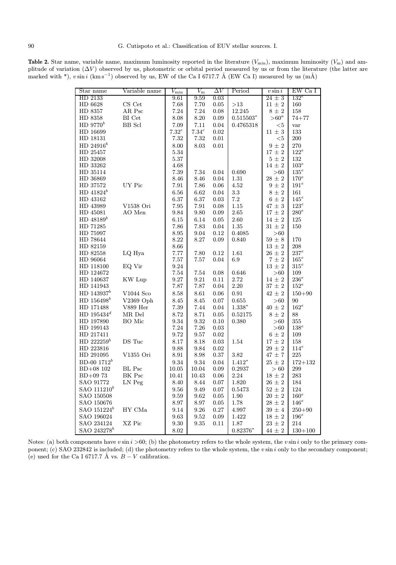Table 2. Star name, variable name, maximum luminosity reported in the literature  $(V_{\text{min}})$ , maximum luminosity  $(V_{\text{m}})$  and amplitude of variation  $(\Delta V)$  observed by us, photometric or orbital period measured by us or from the literature (the latter are marked with \*),  $v \sin i$  (km s<sup>-1</sup>) observed by us, EW of the Ca I 6717.7 Å (EW Ca I) measured by us (mÅ)

| Star name                 | Variable name | $V_{\rm min}$ | $\overline{V_\mathrm{m}}$ | $\Delta V$ | Period         | $v \sin i$                 | EW Ca I        |
|---------------------------|---------------|---------------|---------------------------|------------|----------------|----------------------------|----------------|
| HD 2133                   |               | 9.61          | 9.59                      | 0.03       |                | $24 \pm 3$                 | $132^e$        |
| HD 6628                   | $\rm CS~Cet$  | 7.68          | 7.70                      | 0.05       | ${>}13$        | $11 \pm 2$                 | 160            |
| HD 8357                   | AR Psc        | 7.24          | 7.24                      | 0.08       | 12.245         | $8 \pm 2$                  | 158            |
| HD 8358                   | BI Cet        | 8.08          | $8.20\,$                  | 0.09       | $0.515503*$    | $> 60^a$                   | $74 + 77$      |
| HD $9770^b$               | <b>BB</b> Scl | 7.09          | 7.11                      | 0.04       | 0.4765318      | $<$ 5                      | var            |
| HD 16699                  |               | $7.32^c$      | 7.34 <sup>c</sup>         | 0.02       |                | $11 \pm 3$                 | 133            |
| HD 18131                  |               | 7.32          | 7.32                      | $0.01\,$   |                | $<$ 5                      | 200            |
| HD $24916^b$              |               | 8.00          | 8.03                      | 0.01       |                | $9\,\pm\,2$                | 270            |
| HD 25457                  |               | 5.34          |                           |            |                | $17\,\pm\,2$               | $122^e\,$      |
| HD 32008                  |               | 5.37          |                           |            |                | $5\,\pm\,2$                | 132            |
| HD 33262                  |               | 4.68          |                           |            |                | $14\,\pm\,2$               | $103^e\,$      |
| HD 35114                  |               | 7.39          | 7.34                      | 0.04       | 0.690          | >60                        | $135^e\,$      |
| HD 36869                  |               | 8.46          | 8.46                      | 0.04       | 1.31           | $28 \pm 2$                 | $170^e$        |
| HD 37572                  | UY Pic        | $7.91\,$      | 7.86                      | 0.06       | $4.52\,$       | $9\,\pm\,2$                | $191^e$        |
| $HD 41824^b$              |               | 6.56          | 6.62                      | 0.04       | $\!3.3$        | $8 \pm 2$                  | $161\,$        |
| HD 43162                  |               | 6.37          | 6.37                      | 0.03       | $7.2\,$        | $6\,\pm\,2$                | $145^e$        |
| HD 43989                  | V1538 Ori     | 7.95          | 7.91                      | 0.08       | 1.15           | $47\,\pm\,3$               | $123^e$        |
| HD 45081                  | AO Men        | 9.84          | 9.80                      | 0.09       | 2.65           | $17\,\pm\,2$               | $280^e\,$      |
| HD $48189^b$              |               | 6.15          | 6.14                      | 0.05       | 2.60           | $14\,\pm\,2$               | 125            |
| HD 71285                  |               | 7.86          | 7.83                      | 0.04       | 1.35           | $31\,\pm\,2$               | 150            |
| HD 75997                  |               | $8.95\,$      | 9.04                      | 0.12       | 0.4085         | > 60                       |                |
| HD 78644                  |               | 8.22          | 8.27                      | 0.09       | 0.840          | $59\,\pm\,8$               | 170            |
| HD 82159                  |               | 8.66          |                           |            |                | $13\,\pm\,2$               | 208            |
| HD 82558                  | LQ Hya        | 7.77          | 7.80                      | 0.12       | 1.61           | $26\,\pm\,2$               | $237^e\,$      |
| HD 96064                  |               | 7.57          | 7.57                      | 0.04       | 6.9            | $7\pm2$                    | $165^e$        |
| HD 118100                 | EQ Vir        | $\ \, 9.24$   |                           |            |                | $13 \pm 2$                 | $315^e$        |
| HD 124672                 |               | 7.54          | 7.54                      | 0.08       | 0.646          | >60                        | 109            |
| HD 140637                 | KW Lup        | 9.27          | 9.21                      | 0.11       | 2.72           | $14 \pm 2$                 | $236^e$        |
| HD 141943                 |               | 7.87          | 7.87                      | $0.04\,$   | $2.20\,$       | $37 \pm 2$                 | $152^e$        |
| $HD$ 143937 $^{b}$        | V1044 Sco     | 8.58          | 8.61                      | 0.06       | 0.91           | $42\,\pm\,2$               | $150 + 90$     |
| HD 156498 <sup>b</sup>    | $V2369$ Oph   | 8.45          | 8.45                      | 0.07       | 0.655          | >60                        | 90             |
| HD 171488                 | V889 Her      | $7.39\,$      | 7.44                      | 0.04       | $1.338^{\ast}$ | $40 \pm 2$                 | $162^e$        |
| HD $195434^d$             | MR Del        | 8.72          | 8.71                      | 0.05       | 0.52175        | $8 \pm 2$                  | 88             |
| HD 197890                 | BO Mic        | 9.34          | 9.32                      | 0.10       | 0.380          | >60                        | 355            |
| HD 199143                 |               | 7.24          | 7.26                      | 0.03       |                | >60                        | $138^e\,$      |
| HD 217411                 |               | 9.72          | 9.57                      | $0.02\,$   |                | $6\pm 2$                   | 109            |
| HD $222259^b$             | DS Tuc        | 8.17          | 8.18                      | 0.03       | 1.54           | $17\,\pm\,2$               | 158            |
| HD 223816                 |               | 9.88          | 9.84                      | 0.02       |                | $29\,\pm\,2$               | $114^e\,$      |
| HD 291095                 | V1355 Ori     | 8.91          | 8.98                      | $0.37\,$   | $3.82\,$       | $47\,\pm\,7$               | 225            |
| $BD-00$ 1712 <sup>b</sup> |               | 9.34          | 9.34                      | 0.04       | $1.412*$       | $25 \pm 2$                 | $172 + 132$    |
| BD+08 102                 | BL Psc        | 10.05         | 10.04                     | 0.09       | 0.2937         | >60                        | 299            |
| $BD+0973$                 | BK Psc        | 10.41         | 10.43                     | 0.06       | 2.24           | $18\,\pm\,2$               | 283            |
| SAO 91772                 | LN Peg        | $8.40\,$      | 8.44                      | 0.07       | 1.820          | $26 \pm 2$                 | 184            |
| SAO 111210 <sup>b</sup>   |               |               |                           |            |                |                            |                |
|                           |               | 9.56          | 9.49                      | 0.07       | 0.5473         | $52\,\pm\,2$               | 124<br>$160^e$ |
| SAO 150508                |               | 9.59          | 9.62                      | $0.05\,$   | 1.90           | $20 \pm 2$<br>$28\,\pm\,2$ |                |
| SAO 150676                |               | $8.97\,$      | $8.97\,$                  | $0.05\,$   | 1.78           |                            | $146^e$        |
| SAO 151224 <sup>b</sup>   | HY CMa        | 9.14          | 9.26                      | 0.27       | 4.997          | $39 \pm 4$                 | $250 + 90$     |
| SAO 196024                |               | 9.63          | 9.52                      | 0.09       | 1.422          | $18 \pm 2$                 | $196^e$        |
| SAO 234124                | XZ Pic        | 9.30          | 9.35                      | 0.11       | 1.87           | $23\,\pm\,2$               | 214            |
| SAO 243278 <sup>b</sup>   |               | $8.02\,$      |                           |            | $0.82376*$     | $44\,\pm\,2$               | $130 + 100$    |

Notes: (a) both components have  $v \sin i > 60$ ; (b) the photometry refers to the whole system, the  $v \sin i$  only to the primary component; (c) SAO 232842 is included; (d) the photometry refers to the whole system, the v sin i only to the secondary component; (e) used for the Ca I 6717.7 Å vs.  $B - V$  calibration.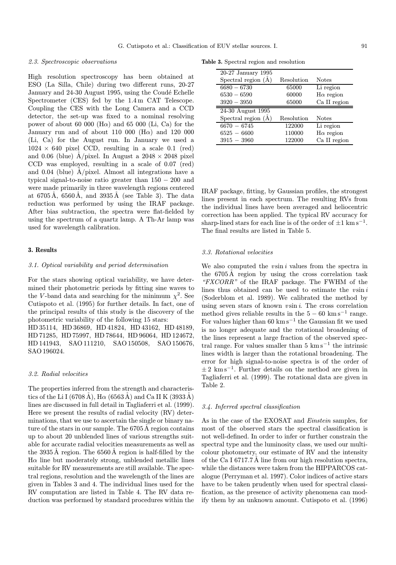#### 2.3. Spectroscopic observations

High resolution spectroscopy has been obtained at ESO (La Silla, Chile) during two different runs, 20-27 January and 24-30 August 1995, using the Coudé Echelle Spectrometer (CES) fed by the 1.4 m CAT Telescope. Coupling the CES with the Long Camera and a CCD detector, the set-up was fixed to a nominal resolving power of about 60 000 (H $\alpha$ ) and 65 000 (Li, Ca) for the January run and of about 110 000 (H $\alpha$ ) and 120 000 (Li, Ca) for the August run. In January we used a  $1024 \times 640$  pixel CCD, resulting in a scale 0.1 (red) and 0.06 (blue)  $\AA$ /pixel. In August a 2048 × 2048 pixel CCD was employed, resulting in a scale of 0.07 (red) and 0.04 (blue)  $\dot{A}/pixel$ . Almost all integrations have a typical signal-to-noise ratio greater than 150 − 200 and were made primarily in three wavelength regions centered at 6705Å, 6560Å, and 3935Å (see Table 3). The data reduction was performed by using the IRAF package. After bias subtraction, the spectra were flat-fielded by using the spectrum of a quartz lamp. A Th-Ar lamp was used for wavelength calibration.

#### 3. Results

#### 3.1. Optical variability and period determination

For the stars showing optical variability, we have determined their photometric periods by fitting sine waves to the V-band data and searching for the minimum  $\chi^2$ . See Cutispoto et al. (1995) for further details. In fact, one of the principal results of this study is the discovery of the photometric variability of the following 15 stars:

HD 35114, HD 36869, HD 41824, HD 43162, HD 48189, HD 71285, HD 75997, HD 78644, HD 96064, HD 124672, HD 141943, SAO 111210, SAO 150508, SAO 150676, SAO 196024.

#### 3.2. Radial velocities

The properties inferred from the strength and characteristics of the Li I (6708 Å), H $\alpha$  (6563 Å) and Ca II K (3933 Å) lines are discussed in full detail in Tagliaferri et al. (1999). Here we present the results of radial velocity (RV) determinations, that we use to ascertain the single or binary nature of the stars in our sample. The 6705 A region contains up to about 20 unblended lines of various strengths suitable for accurate radial velocities measurements as well as the  $3935\text{\AA}$  region. The 6560 Å region is half-filled by the  $H\alpha$  line but moderately strong, unblended metallic lines suitable for RV measurements are still available. The spectral regions, resolution and the wavelength of the lines are given in Tables 3 and 4. The individual lines used for the RV computation are listed in Table 4. The RV data reduction was performed by standard procedures within the

Table 3. Spectral region and resolution

| 20-27 January 1995          |            |                  |
|-----------------------------|------------|------------------|
| Spectral region $(\dot{A})$ | Resolution | Notes            |
| $6680 - 6730$               | 65000      | Li region        |
| $6530 - 6590$               | 60000      | $H\alpha$ region |
| $3920 - 3950$               | 65000      | Ca II region     |
|                             |            |                  |
| 24-30 August 1995           |            |                  |
| Spectral region $(\dot{A})$ | Resolution | <b>Notes</b>     |
| $6670 - 6745$               | 122000     | Li region        |
| $6525 - 6600$               | 110000     | $H\alpha$ region |

IRAF package, fitting, by Gaussian profiles, the strongest lines present in each spectrum. The resulting RVs from the individual lines have been averaged and heliocentric correction has been applied. The typical RV accuracy for sharp-lined stars for each line is of the order of  $\pm 1 \text{ km s}^{-1}$ . The final results are listed in Table 5.

### 3.3. Rotational velocities

We also computed the  $v \sin i$  values from the spectra in the 6705Å region by using the cross correlation task "FXCORR" of the IRAF package. The FWHM of the lines thus obtained can be used to estimate the  $v \sin i$ (Soderblom et al. 1989). We calibrated the method by using seven stars of known  $v \sin i$ . The cross correlation method gives reliable results in the  $5 - 60$  km s<sup>-1</sup> range. For values higher than 60 km s<sup>-1</sup> the Gaussian fit we used is no longer adequate and the rotational broadening of the lines represent a large fraction of the observed spectral range. For values smaller than 5  $\mathrm{km \, s^{-1}}$  the intrinsic lines width is larger than the rotational broadening. The error for high signal-to-noise spectra is of the order of  $\pm 2 \ \mathrm{km \, s}^{-1}$ . Further details on the method are given in Tagliaferri et al. (1999). The rotational data are given in Table 2.

## 3.4. Inferred spectral classification

As in the case of the EXOSAT and Einstein samples, for most of the observed stars the spectral classification is not well-defined. In order to infer or further constrain the spectral type and the luminosity class, we used our multicolour photometry, our estimate of RV and the intensity of the Ca I 6717.7 Å line from our high resolution spectra, while the distances were taken from the HIPPARCOS catalogue (Perryman et al. 1997). Color indices of active stars have to be taken prudently when used for spectral classification, as the presence of activity phenomena can modify them by an unknown amount. Cutispoto et al. (1996)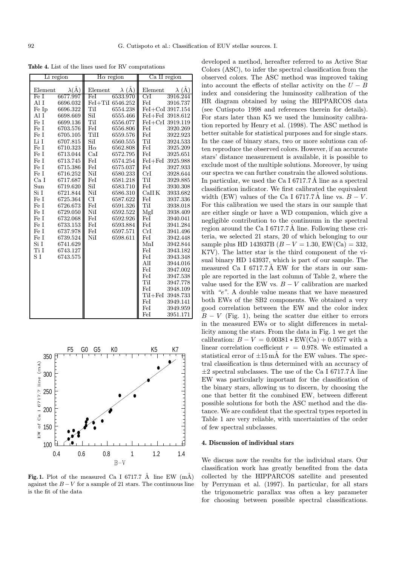Table 4. List of the lines used for RV computations

|         | Li region      |                    | $H\alpha$ region | Ca II region |                  |  |
|---------|----------------|--------------------|------------------|--------------|------------------|--|
| Element | $\lambda(\AA)$ | Element            | $\lambda$ (Å)    | Element      | $\lambda$ (Å)    |  |
| Fe I    | 6677.997       | FeI                | 6533.970         | CrI          | 3916.244         |  |
| Al I    | 6696.032       |                    | FeI+TiI 6546.252 | FeI          | 3916.737         |  |
| Fe Ip   | 6696.322       | TiI                | 6554.238         |              | FeI+CoI 3917.154 |  |
| Al I    | 6698.669       | SiI                | 6555.466         |              | FeI+FeI 3918.612 |  |
| Fe I    | 6699.136       | TiI                | 6556.077         |              | FeI+CrI 3919.119 |  |
| Fe I    | 6703.576       | FeI                | 6556.806         | FeI          | 3920.269         |  |
| Fe I    | 6705.105       | TiII               | 6559.576         | FeI          | 3922.923         |  |
| Li I    | 6707.815       | SiI                | 6560.555         | TiI          | 3924.533         |  |
| Fe I    | 6710.323       | $\mathrm{H}\alpha$ | 6562.808         | FeI          | 3925.209         |  |
| Fe I    | 6713.044       | CaI                | 6572.795         | FeI          | 3925.651         |  |
| Fe I    | 6713.745       | FeI                | 6574.254         |              | FeI+FeI 3925.988 |  |
| Fe I    | 6715.386       | FeI                | 6575.037         | FeI          | 3927.933         |  |
| Fe I    | 6716.252       | NiI                | 6580.233         | CrI          | 3928.644         |  |
| Ca I    | 6717.687       | FeI                | 6581.218         | TiI          | 3929.885         |  |
| Sun     | 6719.620       | SiI                | 6583.710         | FeI          | 3930.308         |  |
| Si I    | 6721.844       | NiI                | 6586.310         | CaIIK        | 3933.682         |  |
| Fe I    | 6725.364       | CI                 | 6587.622         | $\rm FeI$    | 3937.336         |  |
| Fe I    | 6726.673       | FeI                | 6591.326         | TiI          | 3938.018         |  |
| Fe I    | 6729.050       | NiI                | 6592.522         | MgI          | 3938.409         |  |
| Fe I    | 6732.068       | FeI                | 6592.926         | FeI          | 3940.041         |  |
| Fe I    | 6733.153       | FeI                | 6593.884         | FeI          | 3941.284         |  |
| Fe I    | 6737.978       | FeI                | 6597.571         | CrI          | 3941.496         |  |
| Fe I    | 6739.524       | NiI                | 6598.611         | FeI          | 3942.448         |  |
| Si I    | 6741.629       |                    |                  | MnI          | 3942.844         |  |
| Ti I    | 6743.127       |                    |                  | FeI          | 3943.182         |  |
| S I     | 6743.575       |                    |                  | FeI          | 3943.348         |  |
|         |                |                    |                  | AlI          | 3944.016         |  |
|         |                |                    |                  | FeI          | 3947.002         |  |
|         |                |                    |                  | FeI          | 3947.538         |  |
|         |                |                    |                  | TiI          | 3947.778         |  |
|         |                |                    |                  | FeI          | 3948.109         |  |
|         |                |                    |                  |              | TiI+FeI 3948.733 |  |
|         |                |                    |                  | FeI          | 3949.141         |  |
|         |                |                    |                  | FeI          | 3949.959         |  |
|         |                |                    |                  | FeI          | 3951.171         |  |



Fig. 1. Plot of the measured Ca I 6717.7 Å line EW  $(m\AA)$ against the  $B-V$  for a sample of 21 stars. The continuous line is the fit of the data

developed a method, hereafter referred to as Active Star Colors (ASC), to infer the spectral classification from the observed colors. The ASC method was improved taking into account the effects of stellar activity on the  $U - B$ index and considering the luminosity calibration of the HR diagram obtained by using the HIPPARCOS data (see Cutispoto 1998 and references therein for details). For stars later than K5 we used the luminosity calibration reported by Henry et al. (1998). The ASC method is better suitable for statistical purposes and for single stars. In the case of binary stars, two or more solutions can often reproduce the observed colors. However, if an accurate stars' distance measurement is available, it is possible to exclude most of the multiple solutions. Moreover, by using our spectra we can further constrain the allowed solutions. In particular, we used the Ca I 6717.7  $\AA$  line as a spectral classification indicator. We first calibrated the equivalent width (EW) values of the Ca I 6717.7Å line vs.  $B - V$ . For this calibration we used the stars in our sample that are either single or have a WD companion, which give a negligible contribution to the continuum in the spectral region around the Ca I 6717.7 Å line. Following these criteria, we selected 21 stars, 20 of which belonging to our sample plus HD 143937B  $(B - V = 1.30, EW(Ca) = 332,$ K7V). The latter star is the third component of the visual binary HD 143937, which is part of our sample. The measured Ca I  $6717.7\text{\AA}$  EW for the stars in our sample are reported in the last column of Table 2, where the value used for the EW vs.  $B - V$  calibration are marked with "e". A double value means that we have measured both EWs of the SB2 components. We obtained a very good correlation between the EW and the color index  $B - V$  (Fig. 1), being the scatter due either to errors in the measured EWs or to slight differences in metallicity among the stars. From the data in Fig. 1 we get the calibration:  $B - V = 0.00381 * EW(Ca) + 0.0577$  with a linear correlation coefficient  $r = 0.978$ . We estimated a statistical error of  $\pm 15$  mÅ for the EW values. The spectral classification is thus determined with an accuracy of  $\pm 2$  spectral subclasses. The use of the Ca I 6717.7Å line EW was particularly important for the classification of the binary stars, allowing us to discern, by choosing the one that better fit the combined EW, between different possible solutions for both the ASC method and the distance. We are confident that the spectral types reported in Table 1 are very reliable, with uncertainties of the order of few spectral subclasses.

## 4. Discussion of individual stars

We discuss now the results for the individual stars. Our classification work has greatly benefited from the data collected by the HIPPARCOS satellite and presented by Perryman et al. (1997). In particular, for all stars the trigonometric parallax was often a key parameter for choosing between possible spectral classifications.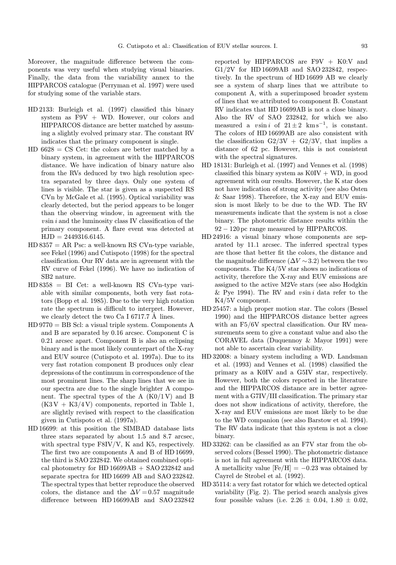Moreover, the magnitude difference between the components was very useful when studying visual binaries. Finally, the data from the variability annex to the HIPPARCOS catalogue (Perryman et al. 1997) were used for studying some of the variable stars.

- HD 2133: Burleigh et al. (1997) classified this binary system as  $F9V + WD$ . However, our colors and HIPPARCOS distance are better matched by assuming a slightly evolved primary star. The constant RV indicates that the primary component is single.
- $HD 6628 = CS Cet: the colors are better matched by a$ binary system, in agreement with the HIPPARCOS distance. We have indication of binary nature also from the RVs deduced by two high resolution spectra separated by three days. Only one system of lines is visible. The star is given as a suspected RS CVn by McGale et al. (1995). Optical variability was clearly detected, but the period appears to be longer than the observing window, in agreement with the  $v \sin i$  and the luminosity class IV classification of the primary component. A flare event was detected at  $HJD = 2449316.6145.$
- $HD 8357 = AR Psc: a well-known RS CVM-type variable,$ see Fekel (1996) and Cutispoto (1998) for the spectral classification. Our RV data are in agreement with the RV curve of Fekel (1996). We have no indication of SB2 nature.
- HD 8358 = BI Cet: a well-known RS CVn-type variable with similar components, both very fast rotators (Bopp et al. 1985). Due to the very high rotation rate the spectrum is difficult to interpret. However, we clearly detect the two Ca I 6717.7  $\AA$  lines.
- HD 9770 = BB Scl: a visual triple system. Components A and B are separated by 0.16 arcsec. Component C is 0.21 arcsec apart. Component B is also an eclipsing binary and is the most likely counterpart of the X-ray and EUV source (Cutispoto et al. 1997a). Due to its very fast rotation component B produces only clear depressions of the continuum in correspondence of the most prominent lines. The sharp lines that we see in our spectra are due to the single brighter A component. The spectral types of the A  $(K0/1 V)$  and B  $(K3V + K3/4V)$  components, reported in Table 1, are slightly revised with respect to the classification given in Cutispoto et al. (1997a).
- HD 16699: at this position the SIMBAD database lists three stars separated by about 1.5 and 8.7 arcsec, with spectral type F8IV/V, K and K5, respectively. The first two are components A and B of HD 16699, the third is SAO 232842. We obtained combined optical photometry for HD  $16699AB + SAO 232842$  and separate spectra for HD 16699 AB and SAO 232842. The spectral types that better reproduce the observed colors, the distance and the  $\Delta V = 0.57$  magnitude difference between HD 16699AB and SAO 232842

reported by HIPPARCOS are F9V + K0:V and G1/2V for HD 16699AB and SAO 232842, respectively. In the spectrum of HD 16699 AB we clearly see a system of sharp lines that we attribute to component A, with a superimposed broader system of lines that we attributed to component B. Constant RV indicates that HD 16699AB is not a close binary. Also the RV of SAO 232842, for which we also measured a vsin i of  $21 \pm 2$  km s<sup>-1</sup>, is constant. The colors of HD 16699AB are also consistent with the classification  $G2/3V + G2/3V$ , that implies a distance of 62 pc. However, this is not consistent with the spectral signatures.

- HD 18131: Burleigh et al. (1997) and Vennes et al. (1998) classified this binary system as  $K0IV + WD$ , in good agreement with our results. However, the K star does not have indication of strong activity (see also Osten & Saar 1998). Therefore, the X-ray and EUV emission is most likely to be due to the WD. The RV measurements indicate that the system is not a close binary. The photometric distance results within the 92 − 120 pc range measured by HIPPARCOS.
- HD 24916: a visual binary whose components are separated by 11.1 arcsec. The inferred spectral types are those that better fit the colors, the distance and the magnitude difference  $(\Delta V \sim 3.2)$  between the two components. The K4/5V star shows no indications of activity, therefore the X-ray and EUV emissions are assigned to the active M2Ve stars (see also Hodgkin & Pye 1994). The RV and  $v \sin i$  data refer to the K4/5V component.
- HD 25457: a high proper motion star. The colors (Bessel 1990) and the HIPPARCOS distance better agrees with an F5/6V spectral classification. Our RV measurements seem to give a constant value and also the CORAVEL data (Duquennoy & Mayor 1991) were not able to ascertain clear variability.
- HD 32008: a binary system including a WD. Landsman et al. (1993) and Vennes et al. (1998) classified the primary as a K0IV and a G5IV star, respectively. However, both the colors reported in the literature and the HIPPARCOS distance are in better agreement with a G7IV/III classification. The primary star does not show indications of activity, therefore, the X-ray and EUV emissions are most likely to be due to the WD companion (see also Barstow et al. 1994). The RV data indicate that this system is not a close binary.
- HD 33262: can be classified as an F7V star from the observed colors (Bessel 1990). The photometric distance is not in full agreement with the HIPPARCOS data. A metallicity value  $[Fe/H] = -0.23$  was obtained by Cayrel de Strobel et al. (1992).
- HD 35114: a very fast rotator for which we detected optical variability (Fig. 2). The period search analysis gives four possible values (i.e.  $2.26 \pm 0.04$ ,  $1.80 \pm 0.02$ ,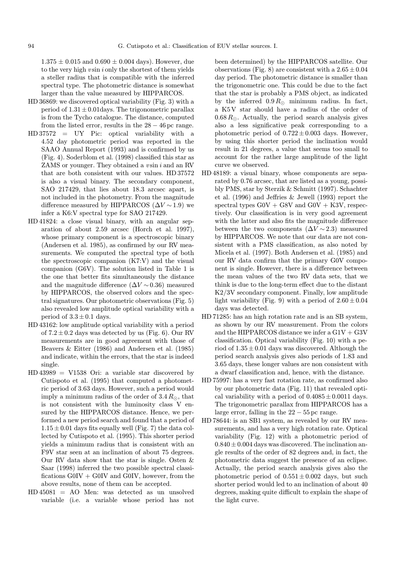$1.375 \pm 0.015$  and  $0.690 \pm 0.004$  days). However, due to the very high  $v \sin i$  only the shortest of them yields a steller radius that is compatible with the inferred spectral type. The photometric distance is somewhat larger than the value measured by HIPPARCOS.

- HD 36869: we discovered optical variability (Fig. 3) with a period of  $1.31 \pm 0.01$  days. The trigonometric parallax is from the Tycho catalogue. The distance, computed from the listed error, results in the  $28 - 46$  pc range.
- HD 37572 = UY Pic: optical variability with a 4.52 day photometric period was reported in the SAAO Annual Report (1993) and is confirmed by us (Fig. 4). Soderblom et al. (1998) classified this star as ZAMS or younger. They obtained a vsin i and an RV that are both consistent with our values. HD 37572 is also a visual binary. The secondary component, SAO 217429, that lies about 18.3 arcsec apart, is not included in the photometry. From the magnitude difference measured by HIPPARCOS  $(\Delta V \sim 1.9)$  we infer a K6:V spectral type for SAO 217429.
- HD 41824: a close visual binary, with an angular separation of about 2.59 arcsec (Horch et al. 1997), whose primary component is a spectroscopic binary (Andersen et al. 1985), as confirmed by our RV measurements. We computed the spectral type of both the spectroscopic companion (K7:V) and the visual companion (G6V). The solution listed in Table 1 is the one that better fits simultaneously the distance and the magnitude difference  $(\Delta V \sim 0.36)$  measured by HIPPARCOS, the observed colors and the spectral signatures. Our photometric observations (Fig. 5) also revealed low amplitude optical variability with a period of  $3.3 \pm 0.1$  days.
- HD 43162: low amplitude optical variability with a period of  $7.2 \pm 0.2$  days was detected by us (Fig. 6). Our RV measurements are in good agreement with those of Beavers & Eitter (1986) and Andersen et al. (1985) and indicate, within the errors, that the star is indeed single.
- HD 43989 = V1538 Ori: a variable star discovered by Cutispoto et al. (1995) that computed a photometric period of 3.63 days. However, such a period would imply a minimum radius of the order of  $3.4 R_{\odot}$ , that is not consistent with the luminosity class V ensured by the HIPPARCOS distance. Hence, we performed a new period search and found that a period of  $1.15 \pm 0.01$  days fits equally well (Fig. 7) the data collected by Cutispoto et al. (1995). This shorter period yields a minimum radius that is consistent with an F9V star seen at an inclination of about 75 degrees. Our RV data show that the star is single. Osten & Saar (1998) inferred the two possible spectral classifications  $G0IV + G0IV$  and  $G0IV$ , however, from the above results, none of them can be accepted.
- HD 45081 = AO Men: was detected as un unsolved variable (i.e. a variable whose period has not

been determined) by the HIPPARCOS satellite. Our observations (Fig. 8) are consistent with a  $2.65 \pm 0.04$ day period. The photometric distance is smaller than the trigonometric one. This could be due to the fact that the star is probably a PMS object, as indicated by the inferred  $0.9 R_{\odot}$  minimum radius. In fact, a K5 V star should have a radius of the order of  $0.68 R_{\odot}$ . Actually, the period search analysis gives also a less significative peak corresponding to a photometric period of  $0.722 \pm 0.003$  days. However, by using this shorter period the inclination would result in 21 degrees, a value that seems too small to account for the rather large amplitude of the light curve we observed.

- HD 48189: a visual binary, whose components are separated by 0.76 arcsec, that are listed as a young, possibly PMS, star by Sterzik & Schmitt (1997). Schachter et al. (1996) and Jeffries & Jewell (1993) report the spectral types  $G0V + G8V$  and  $G0V + K3V$ , respectively. Our classification is in very good agreement with the latter and also fits the magnitude difference between the two components  $(\Delta V \sim 2.3)$  measured by HIPPARCOS. We note that our data are not consistent with a PMS classification, as also noted by Micela et al. (1997). Both Andersen et al. (1985) and our RV data confirm that the primary G0V component is single. However, there is a difference between the mean values of the two RV data sets, that we think is due to the long-term effect due to the distant K2/3V secondary component. Finally, low amplitude light variability (Fig. 9) with a period of  $2.60 \pm 0.04$ days was detected.
- HD 71285: has an high rotation rate and is an SB system, as shown by our RV measurement. From the colors and the HIPPARCOS distance we infer a  $G1V + G3V$ classification. Optical variability (Fig. 10) with a period of  $1.35 \pm 0.01$  days was discovered. Although the period search analysis gives also periods of 1.83 and 3.65 days, these longer values are non consistent with a dwarf classification and, hence, with the distance.
- HD 75997: has a very fast rotation rate, as confirmed also by our photometric data (Fig. 11) that revealed optical variability with a period of  $0.4085 \pm 0.0011$  days. The trigonometric parallax from HIPPARCOS has a large error, falling in the  $22 - 55$  pc range.
- HD 78644: is an SB1 system, as revealed by our RV measurements, and has a very high rotation rate. Optical variability (Fig. 12) with a photometric period of  $0.840 \pm 0.004$  days was discovered. The inclination angle results of the order of 82 degrees and, in fact, the photometric data suggest the presence of an eclipse. Actually, the period search analysis gives also the photometric period of  $0.551 \pm 0.002$  days, but such shorter period would led to an inclination of about 40 degrees, making quite difficult to explain the shape of the light curve.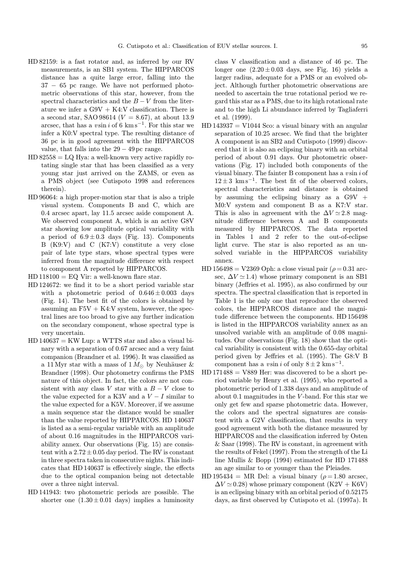- HD 82159: is a fast rotator and, as inferred by our RV measurements, is an SB1 system. The HIPPARCOS distance has a quite large error, falling into the 37 − 65 pc range. We have not performed photometric observations of this star, however, from the spectral characteristics and the  $B - V$  from the literature we infer a  $G9V + K4:V$  classification. There is a second star, SAO 98614 ( $V = 8.67$ ), at about 13.9 arcsec, that has a vsin i of 6 km s<sup>-1</sup>. For this star we infer a K0:V spectral type. The resulting distance of 36 pc is in good agreement with the HIPPARCOS value, that falls into the  $29 - 49$  pc range.
- $HD 82558 = LQ Hya: a well-known very active rapidly ro$ tating single star that has been classified as a very young star just arrived on the ZAMS, or even as a PMS object (see Cutispoto 1998 and references therein).
- HD 96064: a high proper-motion star that is also a triple visual system. Components B and C, which are 0.4 arcsec apart, lay 11.5 arcsec aside component A. We observed component A, which is an active G8V star showing low amplitude optical variability with a period of  $6.9 \pm 0.3$  days (Fig. 13). Components B (K9:V) and C (K7:V) constitute a very close pair of late type stars, whose spectral types were inferred from the magnitude difference with respect to component A reported by HIPPARCOS.
- $HD 118100 = EQ Vir: a well-known flare star.$
- HD 124672: we find it to be a short period variable star with a photometric period of  $0.646 \pm 0.003$  days (Fig. 14). The best fit of the colors is obtained by assuming an  $F5V + K4:V$  system, however, the spectral lines are too broad to give any further indication on the secondary component, whose spectral type is very uncertain.
- $HD 140637 = KW$  Lup: a WTTS star and also a visual binary with a separation of 0.67 arcsec and a very faint companion (Brandner et al. 1996). It was classified as a 11 Myr star with a mass of  $1 M_{\odot}$  by Neuhäuser & Brandner (1998). Our photometry confirms the PMS nature of this object. In fact, the colors are not consistent with any class V star with a  $B - V$  close to the value expected for a K3V and a  $V-I$  similar to the value expected for a K5V. Moreover, if we assume a main sequence star the distance would be smaller than the value reported by HIPPARCOS. HD 140637 is listed as a semi-regular variable with an amplitude of about 0.16 magnitudes in the HIPPARCOS variability annex. Our observations (Fig. 15) are consistent with a  $2.72 \pm 0.05$  day period. The RV is constant in three spectra taken in consecutive nights. This indicates that HD 140637 is effectively single, the effects due to the optical companion being not detectable over a three night interval.
- HD 141943: two photometric periods are possible. The shorter one  $(1.30 \pm 0.01$  days) implies a luminosity

class V classification and a distance of 46 pc. The longer one  $(2.20 \pm 0.03$  days, see Fig. 16) yields a larger radius, adequate for a PMS or an evolved object. Although further photometric observations are needed to ascertain the true rotational period we regard this star as a PMS, due to its high rotational rate and to the high Li abundance inferred by Tagliaferri et al. (1999).

- $HD 143937 = V1044$  Sco: a visual binary with an angular separation of 10.25 arcsec. We find that the brighter A component is an SB2 and Cutispoto (1999) discovered that it is also an eclipsing binary with an orbital period of about 0.91 days. Our photometric observations (Fig. 17) included both components of the visual binary. The fainter B component has a  $v \sin i$  of  $12 \pm 3$  km s<sup>-1</sup>. The best fit of the observed colors, spectral characteristics and distance is obtained by assuming the eclipsing binary as a  $G9V +$ M0:V system and component B as a K7:V star. This is also in agreement with the  $\Delta V \approx 2.8$  magnitude difference between A and B components measured by HIPPARCOS. The data reported in Tables 1 and 2 refer to the out-of-eclipse light curve. The star is also reported as an unsolved variable in the HIPPARCOS variability annex.
- HD  $156498 = V2369$  Oph: a close visual pair  $(\rho = 0.31$  arcsec,  $\Delta V \simeq 1.4$ ) whose primary component is an SB1 binary (Jeffries et al. 1995), as also confirmed by our spectra. The spectral classification that is reported in Table 1 is the only one that reproduce the observed colors, the HIPPARCOS distance and the magnitude difference between the components. HD 156498 is listed in the HIPPARCOS variability annex as an unsolved variable with an amplitude of 0.08 magnitudes. Our observations (Fig. 18) show that the optical variability is consistent with the 0.655-day orbital period given by Jeffries et al. (1995). The G8:V B component has a vsin i of only  $8 \pm 2$  km s<sup>-1</sup>.
- $HD 171488 = V889$  Her: was discovered to be a short period variable by Henry et al. (1995), who reported a photometric period of 1.338 days and an amplitude of about  $0.1$  magnitudes in the  $V$ -band. For this star we only get few and sparse photometric data. However, the colors and the spectral signatures are consistent with a G2V classification, that results in very good agreement with both the distance measured by HIPPARCOS and the classification inferred by Osten & Saar (1998). The RV is constant, in agreement with the results of Fekel (1997). From the strength of the Li line Mullis & Bopp (1994) estimated for HD 171488 an age similar to or younger than the Pleiades.
- HD 195434 = MR Del: a visual binary ( $\rho = 1.80$  arcsec,  $\Delta V \simeq 0.28$ ) whose primary component (K2V + K6V) is an eclipsing binary with an orbital period of 0.52175 days, as first observed by Cutispoto et al. (1997a). It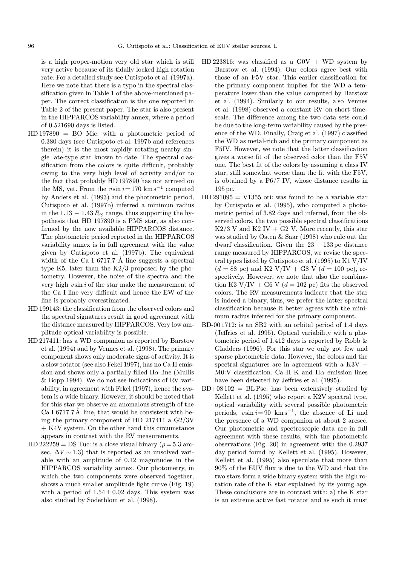is a high proper-motion very old star which is still very active because of its tidally locked high rotation rate. For a detailed study see Cutispoto et al. (1997a). Here we note that there is a typo in the spectral classification given in Table 1 of the above-mentioned paper. The correct classification is the one reported in Table 2 of the present paper. The star is also present in the HIPPARCOS variability annex, where a period of 0.521690 days is listed.

- HD 197890 = BO Mic: with a photometric period of 0.380 days (see Cutispoto et al. 1997b and references therein) it is the most rapidly rotating nearby single late-type star known to date. The spectral classification from the colors is quite difficult, probably owing to the very high level of activity and/or to the fact that probably HD 197890 has not arrived on the MS, yet. From the vsin  $i = 170$  km s<sup>-1</sup> computed by Anders et al. (1993) and the photometric period, Cutispoto et al. (1997b) inferred a minimun radius in the 1.13 – 1.43  $R_{\odot}$  range, thus supporting the hypothesis that HD 197890 is a PMS star, as also confirmed by the now available HIPPARCOS distance. The photometric period reported in the HIPPARCOS variability annex is in full agreement with the value given by Cutispoto et al. (1997b). The equivalent width of the Ca I 6717.7  $\AA$  line suggests a spectral type K5, later than the K2/3 proposed by the photometry. However, the noise of the spectra and the very high  $v \sin i$  of the star make the measurement of the Ca I line very difficult and hence the EW of the line is probably overestimated.
- HD 199143: the classification from the observed colors and the spectral signatures result in good agreement with the distance measured by HIPPARCOS. Very low amplitude optical variability is possible.
- HD 217411: has a WD companion as reported by Barstow et al. (1994) and by Vennes et al. (1998). The primary component shows only moderate signs of activity. It is a slow rotator (see also Fekel 1997), has no Ca II emission and shows only a partially filled  $H\alpha$  line (Mullis & Bopp 1994). We do not see indications of RV variability, in agreement with Fekel (1997), hence the system is a wide binary. However, it should be noted that for this star we observe an anomalous strength of the Ca I 6717.7  $\AA$  line, that would be consistent with being the primary component of HD 217411 a G2/3V + K4V system. On the other hand this circumstance appears in contrast with the RV measurements.
- HD 222259 = DS Tuc: is a close visual binary ( $\rho = 5.3$  arcsec,  $\Delta V \sim 1.3$ ) that is reported as an unsolved variable with an amplitude of 0.12 magnitudes in the HIPPARCOS variability annex. Our photometry, in which the two components were observed together, shows a much smaller amplitude light curve (Fig. 19) with a period of  $1.54 \pm 0.02$  days. This system was also studied by Soderblom et al. (1998).
- HD 223816: was classified as a  $GOV + WD$  system by Barstow et al. (1994). Our colors agree best with those of an F5V star. This earlier classification for the primary component implies for the WD a temperature lower than the value computed by Barstow et al. (1994). Similarly to our results, also Vennes et al. (1998) observed a constant RV on short timescale. The difference among the two data sets could be due to the long-term variability caused by the presence of the WD. Finally, Craig et al. (1997) classified the WD as metal-rich and the primary component as F5IV. However, we note that the latter classification gives a worse fit of the observed color than the F5V one. The best fit of the colors by assuming a class IV star, still somewhat worse than the fit with the F5V, is obtained by a F6/7 IV, whose distance results in 195 pc.
- $HD 291095 = V1355$  ori: was found to be a variable star by Cutispoto et al. (1995), who computed a photometric period of 3.82 days and inferred, from the observed colors, the two possible spectral classifications  $K2/3$  V and  $K2$  IV + G2 V. More recently, this star was studied by Osten & Saar (1998) who rule out the dwarf classification. Given the  $23 - 133$  pc distance range measured by HIPPARCOS, we revise the spectral types listed by Cutispoto et al. (1995) to K1 V/IV  $(d = 88 \text{ pc})$  and K2 V/IV + G8 V  $(d = 100 \text{ pc})$ , respectively. However, we note that also the combination K3 V/IV + G6 V ( $d = 102$  pc) fits the observed colors. The RV measurements indicate that the star is indeed a binary, thus, we prefer the latter spectral classification because it better agrees with the minimum radius inferred for the primary component.
- BD-00 1712: is an SB2 with an orbital period of 1.4 days (Jeffries et al. 1995). Optical variability with a photometric period of 1.412 days is reported by Robb  $\&$ Gladders (1996). For this star we only got few and sparse photometric data. However, the colors and the spectral signatures are in agreement with a  $K3V +$ M0:V classification. Ca II K and  $H\alpha$  emission lines have been detected by Jeffries et al. (1995).
- $BD+08102 = BL$  Psc: has been extensively studied by Kellett et al. (1995) who report a K2V spectral type, optical variability with several possible photometric periods,  $v \sin i = 90 \text{ km s}^{-1}$ , the absence of Li and the presence of a WD companion at about 2 arcsec. Our photometric and spectroscopic data are in full agreement with these results, with the photometric observations (Fig. 20) in agreement with the 0.2937 day period found by Kellett et al. (1995). However, Kellett et al. (1995) also speculate that more than 90% of the EUV flux is due to the WD and that the two stars form a wide binary system with the high rotation rate of the K star explained by its young age. These conclusions are in contrast with: a) the K star is an extreme active fast rotator and as such it must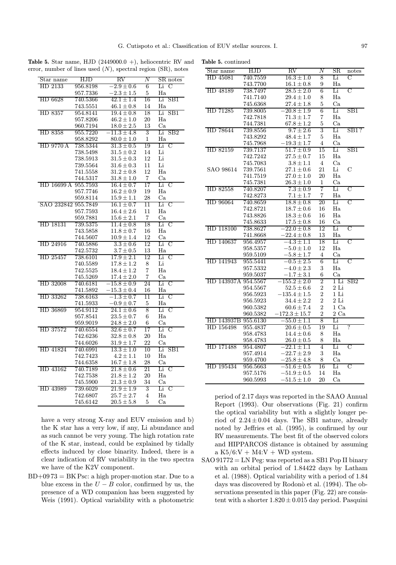| Star name           | HJD      | $\overline{\text{RV}}$ | $\overline{N}$  | SR notes             |
|---------------------|----------|------------------------|-----------------|----------------------|
| HD 2133             | 956.8198 | $-2.9 \pm 0.6$         | 6               | $\mathcal{C}$<br>Li  |
|                     | 957.7336 | $-2.3 \pm 1.5$         | 5               | Ha                   |
| HD 6628             | 740.5366 | $42.1 \pm 1.4$         | $\overline{16}$ | Li<br>SB1            |
|                     | 743.5551 | $46.1 \pm 0.8$         | 14              | Ha                   |
| HD 8357             | 954.8141 | $19.4 \pm 0.8$         | 18              | Li<br>SB1            |
|                     | 957.8206 | $46.2 \pm 1.0$         | 20              | Ha                   |
|                     | 960.7194 | $18.0 \pm 2.5$         | 13              | Ca.                  |
| HD 8358             | 955.7220 | $-11.3 \pm 4.8$        | 3               | SB2<br>Li            |
|                     | 958.8292 | $80.0 \pm 1.0$         | 1               | $_{\rm Ha}$          |
| HD 9770 A           | 738.5344 | $31.3 \pm 0.5$         | 19              | C<br>Li              |
|                     | 738.5498 | $31.5 \pm 0.2$         | 14              | Li                   |
|                     | 738.5913 | $31.5 \pm 0.3$         | 12              | Li                   |
|                     | 739.5564 | $31.6 \pm 0.3$         | 11              | Li                   |
|                     | 741.5558 | $31.2 \pm 0.8$         | 12              | Ha                   |
|                     | 744.5317 | $31.8\pm1.0$           | $\,7$           | Ca                   |
| HD 16699 A 955.7593 |          | $16.4 \pm 0.7$         | 17              | Li C                 |
|                     | 957.7746 | $16.2 \pm 0.9$         | 19              | Ha                   |
|                     | 959.8114 | $15.9\pm1.1$           | 28              | Ca                   |
| SAO 232842          | 955.7849 | $16.1 \pm 0.7$         | $\overline{11}$ | Li C                 |
|                     | 957.7593 | $16.4 \pm 2.6$         | 11              | Ha                   |
|                     | 959.7881 | $15.6 \pm 2.1$         | 7               | Ca                   |
| HD 18131            | 739.5375 | $11.4 \pm 0.8$         | 18              | C<br>Li              |
|                     | 743.5858 | $11.8 \pm 0.7$         | 16              | Ha                   |
|                     | 744.5607 | $10.9 \pm 1.4$         | 12              | Ca                   |
| HD 24916            | 740.5886 | $3.3 \pm 0.6$          | 12              | Li<br>C              |
|                     | 742.5732 | $3.7 \pm 0.5$          | 13              | Ha                   |
| HD 25457            | 738.6101 | $17.9 \pm 2.1$         | 12              | Li<br>C              |
|                     | 740.5589 | $17.8 \pm 1.2$         | 8               | Li                   |
|                     | 742.5525 | $18.4 \pm 1.2$         | $\overline{7}$  | Ha                   |
|                     | 745.5269 | $17.4 \pm 2.0$         | 7               | Ca                   |
| HD 32008            | 740.6181 | $-15.8\pm0.9$          | 24              | Li<br>C              |
|                     | 741.5892 | $-15.3 \pm 0.4$        | 16              | $_{\rm Ha}$          |
| HD 33262            | 738.6163 | $-1.3\pm0.7$           | 11              | Li<br>C              |
|                     | 741.5933 | $-0.9 \pm 0.7$         | 5               | Ha                   |
| HD 36869            | 954.9112 | $24.1 \pm 0.6$         | 8               | Li<br>C              |
|                     | 957.8541 | $23.5\pm0.7$           | 6               | Ha                   |
|                     | 959.9019 | $24.8\pm2.0$           | 6               | Сa                   |
| HD 37572            | 740.6554 | $32.6 \pm 0.7$         | 17              | Li<br>C              |
|                     | 742.6236 | $32.8 \pm 0.8$         | 20              | Ha                   |
|                     | 744.6026 | $31.9 \pm 1.7$         | 22              | Ca                   |
| HD 41824            | 740.6991 | $13.3 \pm 1.0$         | 10              | SB1<br>Li            |
|                     | 742.7423 | $4.2 \pm 1.1$          | 10              | Ha                   |
|                     | 744.6358 | $16.7 \pm 1.8$         | 28              | Ca                   |
| HD 43162            | 740.7189 | $21.8 \pm 0.6$         | 21              | Li C                 |
|                     | 742.7538 | $21.8 \pm 1.2$         | 20              | Ha                   |
|                     | 745.5900 | $21.3\pm0.9$           | 34              | Ca                   |
| HD 43989            | 739.6029 | $21.9 \pm 1.9$         | 3               | $\overline{C}$<br>Li |
|                     | 742.6807 | $25.7 \pm 2.7$         | 4               | Ha                   |
|                     | 745.6142 | $20.5 \pm 5.8$         | 5               | Ca                   |
|                     |          |                        |                 |                      |

**Table 5.** Star name, HJD  $(2449000.0 +)$ , heliocentric RV and error, number of lines used  $(N)$ , spectral region  $(SR)$ , notes Table 5. continued

have a very strong X-ray and EUV emission and b) the K star has a very low, if any, Li abundance and as such cannot be very young. The high rotation rate of the K star, instead, could be explained by tidally effects induced by close binarity. Indeed, there is a clear indication of RV variability in the two spectra we have of the K2V component.

 $BD+0973 = BK Psc: a high proper-motion star. Due to a$ blue excess in the  $U - B$  color, confirmed by us, the presence of a WD companion has been suggested by Weis (1991). Optical variability with a photometric

| Star name           | HJD      | $\overline{\text{RV}}$ | Ν                       | $_{\rm SR}$    | notes          |
|---------------------|----------|------------------------|-------------------------|----------------|----------------|
| HD 45081            | 740.7559 | $16.3 \pm 1.0$         | 8                       | Li             | C              |
|                     | 743.7700 | $16.1 \pm 0.8$         | 9                       | Ha             |                |
| HD 48189            | 738.7497 | $28.5 \pm 2.0$         | 6                       | Li             | С              |
|                     | 741.7140 | $29.4 \pm 1.0$         | 8                       | H <sub>a</sub> |                |
|                     | 745.6368 | $27.4 \pm 1.8$         | 5                       | Ca             |                |
| HD 71285            | 739.8005 | $-20.8 \pm 1.9$        | 6                       | Li             | SB1            |
|                     | 742.7818 | $71.3 \pm 1.7$         | 7                       | Ha             |                |
|                     | 744.7381 | $67.8 \pm 1.2$         | 5                       | Ca             |                |
| HD 78644            | 739.8556 | $9.7 \pm 2.6$          | 3                       | Li             | SB1?           |
|                     | 743.8292 | $48.4 \pm 1.7$         | 5                       | Ha             |                |
|                     | 745.7968 | $-19.3 \pm 1.7$        | 4                       | Ca             |                |
| HD 82159            | 739.7137 | $51.7 \pm 0.9$         | 15                      | Li             | SB1            |
|                     | 742.7242 | $27.5\pm0.7$           | 15                      | Ha             |                |
|                     | 745.7083 | $3.8 \pm 1.1$          | 4                       | $\rm Ca$       |                |
| SAO 98614           | 739.7561 | $27.1 \pm 0.6$         | 21                      | Li             | $\overline{C}$ |
|                     | 741.7519 | $27.0 \pm 1.0$         | 20                      | Ha             |                |
|                     | 745.7381 | $26.3 \pm 1.0$         | 1                       | Ca             |                |
| HD 82558            | 740.8207 | $7.3 \pm 0.9$          | 7                       | Li             | C              |
|                     | 742.8273 | $7.1 \pm 1.7$          | $\overline{7}$          | Ha             |                |
| HD 96064            | 740.8659 | $18.8 \pm 0.8$         | 20                      | Li             | С              |
|                     | 742.8721 | $18.7 \pm 0.6$         | 16                      | Ha             |                |
|                     | 743.8826 | $18.3\pm0.6$           | 16                      | Ha             |                |
|                     | 745.8633 | $17.5\pm0.8$           | 16                      | Ca             |                |
| HD 118100           | 738.8627 | $-22.0 \pm 0.8$        | 12                      | Li             | C              |
|                     | 741.8668 | $22.4 \pm 0.8$         | 13                      | Ha             |                |
| HD 140637           | 956.4957 | $-4.3 \pm 1.1$         | 18                      | Li             | C              |
|                     | 958.5357 | $-5.0 \pm 1.0$         | 12                      | Ha             |                |
|                     | 959.5109 | $-5.8 \pm 1.7$         | 4                       | Ca             |                |
| HD 141943           | 955.5441 | $-0.5 \pm 2.5$         | 6                       | Li             | C              |
|                     | 957.5332 | $-4.0 \pm 2.3$         | 3                       | Ha             |                |
|                     | 959.5037 | $-1.7 \pm 3.1$         | 6                       | $\rm Ca$       |                |
| HD 143937A 954.5567 |          | $-155.2\pm2.0$         | $\overline{2}$          | 1 Li           | SB2            |
|                     | 954.5567 | $52.5 \pm 6.6$         | $\overline{\mathbf{2}}$ | $2$ Li         |                |
|                     | 956.5923 | $-135.4 \pm 1.5$       | $\overline{2}$          | 1 Li           |                |
|                     | 956.5923 | $34.4 \pm 2.2$         | $\overline{2}$          | $2$ Li         |                |
|                     | 960.5382 | $60.6 \pm 7.4$         | $\overline{2}$          | 1 Ca           |                |
|                     | 960.5382 | $-172.3 \pm 15.7$      | $\overline{2}$          | 2 Ca           |                |
| HD 143937B          | 955.6130 | $-55.0 \pm 1.1$        | 8                       | Li             |                |
| HD 156498           | 955.4837 | $20.6 \pm 0.5$         | 19                      | Li             | 7              |
|                     | 958.4783 | $14.4 \pm 0.6$         | 8                       | Ha             |                |
|                     | 958.4783 | $26.0 \pm 0.5$         | 8                       | Ha             |                |
| HD 171488           | 954.4807 | $-22.1 \pm 1.1$        | 4                       | Li             | C              |
|                     | 957.4914 | $-22.7 \pm 2.9$        | 3                       | Ha             |                |
|                     | 959.4700 | $-25.8 \pm 4.8$        | 8                       | Ca             |                |
| HD 195434           | 956.5663 | $-51.6\pm0.5$          | 16                      | Li             | C              |
|                     | 957.5176 | $-51.9\pm0.5$          | 14                      | Ha             |                |
|                     | 960.5993 | $-51.5\pm1.0$          | 20                      | Ca             |                |

period of 2.17 days was reported in the SAAO Annual Report (1993). Our observations (Fig. 21) confirm the optical variability but with a slightly longer period of  $2.24 \pm 0.04$  days. The SB1 nature, already noted by Jeffries et al. (1995), is confirmed by our RV measurements. The best fit of the observed colors and HIPPARCOS distance is obtained by assuming a  $K5/6:V + M4:V + WD$  system.

SAO 91772 = LN Peg: was reported as a SB1 Pop II binary with an orbital period of 1.84422 days by Latham et al. (1988). Optical variability with a period of 1.84 days was discovered by Rodonò et al. (1994). The observations presented in this paper (Fig. 22) are consistent with a shorter  $1.820 \pm 0.015$  day period. Pasquini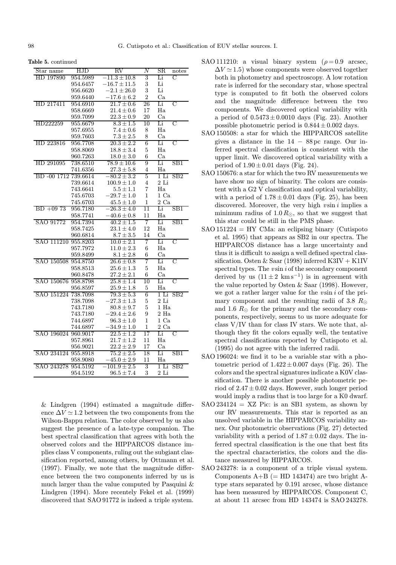| Star name            | HJD             | $\overline{\text{RV}}$ | $\overline{N}$ | $_{\rm SR}$<br>notes |
|----------------------|-----------------|------------------------|----------------|----------------------|
| HD 197890            | 954.5989        | $-11.3 \pm 10.8$       | 3              | C<br>Li              |
|                      | 954.6457        | $-16.7 \pm 11.5$       | $\sqrt{3}$     | Li                   |
|                      | 956.6620        | $-2.1 \pm 26.0$        | 3              | Li                   |
|                      | 959.6440        | $-17.6 \pm 6.2$        | $\overline{2}$ | Ca                   |
| HD 217411            | 954.6910        | $21.7 \pm 0.6$         | 26             | Li<br>С              |
|                      | 958.6669        | $21.4 \pm 0.6$         | 17             | Ha                   |
|                      | 959.7099        | $22.3 \pm 0.9$         | 20             | Ca                   |
| HD222259             | 955.6679        | $8.3 \pm 1.5$          | 10             | Li<br>С              |
|                      | 957.6955        | $7.4 \pm 0.6$          | 8              | Ha                   |
|                      | 959.7603        | $7.3\pm2.5$            | 8              | Ca                   |
| HD 223816            | 956.7708        | $20.3 \pm 2.2$         | $\overline{6}$ | C<br>Li              |
|                      | 958.8069        | $18.8 \pm 3.4$         | $\overline{5}$ | Ha                   |
|                      | 960.7263        | $18.0 \pm 3.0$         | 6              | Ca                   |
| HD 291095            | 738.6510        | $78.9 \pm 10.6$        | 9              | Li<br>SB1            |
|                      | 741.6356        | $27.3 \pm 5.8$         | 4              | Ha                   |
| BD -00 1712 739.6614 |                 | $-80.2 \pm 3.2$        | 5              | 1 Li<br>SB2          |
|                      | 739.6614        | $100.9 \pm 1.0$        | 4              | $2$ Li               |
|                      | 743.6641        | $5.5 \pm 1.1$          | 7              | Ha                   |
|                      | 745.6703        | $-29.7 \pm 1.0$        | 1              | $1\text{ Ca}$        |
|                      | 745.6703        | $45.5 \pm 1.0$         | $\mathbf{1}$   | $2\mathrm{Ca}$       |
| $BD + 0973$          | 956.7180        | $-26.3 \pm 4.0$        | 11             | Li<br>SB1            |
|                      | 958.7741        | $-40.6 \pm 0.8$        | 11             | Ha                   |
| SAO 91772            | 954.7394        | $40.2 \pm 1.5$         | 7              | SB1<br>Li            |
|                      | 958.7425        | $23.1 \pm 4.0$         | 12             | Ha                   |
|                      | 960.6814        | $8.7 \pm 3.5$          | 14             | Ca                   |
| SAO 111210 955.8203  |                 | $10.0 \pm 2.1$         | 7              | Li<br>С              |
|                      | 957.7972        | $11.0 \pm 2.3$         | 6              | Ha                   |
|                      | 959.8499        | $8.1\pm2.8$            | 6              | Ca                   |
| SAO 150508 954.8750  |                 | $26.6 \pm 0.8$         | 7              | Li<br>C              |
|                      | 958.8513        | $25.6 \pm 1.3$         | 5              | Ha                   |
|                      | 960.8478        | $27.2 \pm 2.1$         | 6              | Ca                   |
| SAO 150676           | 958.8798        | $25.8 \pm 1.4$         | 10             | С<br>Li              |
|                      | 956.8597        | $25.9 \pm 1.8$         | 5              | Ha                   |
| SAO 151224           | 738.7098        | $79.3 \pm 5.3$         | 6              | 1 Li<br>SB2          |
|                      | 738.7098        | $-27.3 \pm 1.3$        | $\overline{5}$ | $2$ Li               |
|                      | 743.7180        | $80.8 \pm 9.7$         | 5              | 1 Ha                 |
|                      | 743.7180        | $-29.4 \pm 2.6$        | 9              | $2\ \mathrm{Ha}$     |
|                      | 744.6897        | $96.3 \pm 1.0$         | 1              | $1\text{ Ca}$        |
|                      | 744.6897        | $-34.9 \pm 1.0$        | $\mathbf{1}$   | $2\text{ Ca}$        |
| SAO 196024           | 960.9017        | $22.5 \pm 1.2$         | 17             | C<br>Li              |
|                      | 957.8961        | $21.7 \pm 1.2$         | 11             | Ha                   |
|                      | 956.9021        | $22.2 \pm 2.9$         | 17             | Ca                   |
| SAO                  | 234124 955.8918 | $75.2 \pm 2.5$         | 18             | Li<br>SB1            |
|                      | 958.9080        | $-45.0 \pm 2.9$        | 11             | Ha                   |
| SAO 243278           | 954.5192        | $-101.9 \pm 2.5$       | 3              | 1 Li<br>SB2          |
|                      | 954.5192        | $96.5 \pm 7.4$         | 3              | 2 Li                 |
|                      |                 |                        |                |                      |

& Lindgren (1994) estimated a magnitude difference  $\Delta V \simeq 1.2$  between the two components from the Wilson-Bappu relation. The color observed by us also suggest the presence of a late-type companion. The best spectral classification that agrees with both the observed colors and the HIPPARCOS distance implies class V components, ruling out the subgiant classification reported, among others, by Ottmann et al. (1997). Finally, we note that the magnitude difference between the two components inferred by us is much larger than the value computed by Pasquini & Lindgren (1994). More recentely Fekel et al. (1999) discovered that SAO 91772 is indeed a triple system.

- SAO 111210: a visual binary system ( $\rho = 0.9$  arcsec,  $\Delta V \approx 1.5$ ) whose components were observed together both in photometry and spectroscopy. A low rotation rate is inferred for the secondary star, whose spectral type is computed to fit both the observed colors and the magnitude difference between the two components. We discovered optical variability with a period of  $0.5473 \pm 0.0010$  days (Fig. 23). Another possible photometric period is  $0.844 \pm 0.002$  days.
- SAO 150508: a star for which the HIPPARCOS satellite gives a distance in the  $14 - 88$  pc range. Our inferred spectral classification is consistent with the upper limit. We discovered optical variability with a period of  $1.90 \pm 0.01$  days (Fig. 24).
- SAO 150676: a star for which the two RV measurements we have show no sign of binarity. The colors are consistent with a G2 V classification and optical variability, with a period of  $1.78 \pm 0.01$  days (Fig. 25), has been discovered. Moreover, the very high  $v \sin i$  implies a minimum radius of  $1.0 R_{\odot}$ , so that we suggest that this star could be still in the PMS phase.
- $SAO 151224 = HY CMa:$  an eclipsing binary (Cutispoto et al. 1995) that appears as SB2 in our spectra. The HIPPARCOS distance has a large uncertainty and thus it is difficult to assign a well defined spectral classification. Osten & Saar (1998) inferred  $K3IV + K1IV$ spectral types. The  $v \sin i$  of the secondary component derived by us  $(11 \pm 2 \text{ km s}^{-1})$  is in agreement with the value reported by Osten & Saar (1998). However, we got a rather larger value for the  $v \sin i$  of the primary component and the resulting radii of 3.8  $R_{\odot}$ and 1.6  $R_{\odot}$  for the primary and the secondary components, respectively, seems to us more adequate for class V/IV than for class IV stars. We note that, although they fit the colors equally well, the tentative spectral classifications reported by Cutispoto et al. (1995) do not agree with the inferred radii.
- SAO 196024: we find it to be a variable star with a photometric period of  $1.422 \pm 0.007$  days (Fig. 26). The colors and the spectral signatures indicate a K0V classification. There is another possible photometric period of  $2.47 \pm 0.02$  days. However, such longer period would imply a radius that is too large for a K0 dwarf.
- $SAO 234124 = XZ$  Pic: is an SB1 system, as shown by our RV measurements. This star is reported as an unsolved variable in the HIPPARCOS variability annex. Our photometric observations (Fig. 27) detected variability with a period of  $1.87 \pm 0.02$  days. The inferred spectral classification is the one that best fits the spectral characteristics, the colors and the distance measured by HIPPARCOS.
- SAO 243278: ia a component of a triple visual system. Components  $A+B$  (= HD 143474) are two bright Atype stars separated by 0.191 arcsec, whose distance has been measured by HIPPARCOS. Component C, at about 11 arcsec from HD 143474 is SAO 243278.